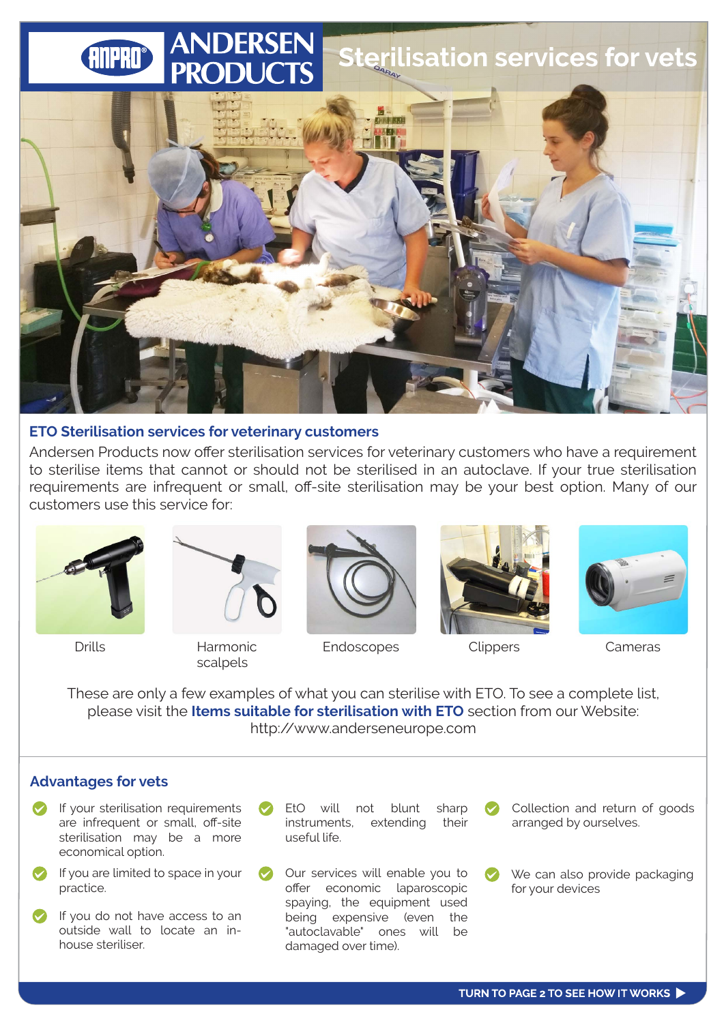# **Sterilisation services for vets ANPRO®**



#### **ETO Sterilisation services for veterinary customers**

Andersen Products now offer sterilisation services for veterinary customers who have a requirement to sterilise items that cannot or should not be sterilised in an autoclave. If your true sterilisation requirements are infrequent or small, off-site sterilisation may be your best option. Many of our customers use this service for:





scalpels



Drills **Endoscopes** Clippers Cameras Harmonic **Endoscopes** Clippers Cameras





These are only a few examples of what you can sterilise with ETO. To see a complete list, please visit the **Items suitable for sterilisation with ETO** section from our Website: http://www.anderseneurope.com

### **Advantages for vets**

- $\bullet$ If your sterilisation requirements are infrequent or small, off-site sterilisation may be a more economical option.
- If you are limited to space in your practice.
- If you do not have access to an outside wall to locate an inhouse steriliser.
- EtO will not blunt sharp instruments, extending their useful life.
- Our services will enable you to offer economic laparoscopic spaying, the equipment used being expensive (even the "autoclavable" ones will be damaged over time).
- Collection and return of goods arranged by ourselves.
- We can also provide packaging for your devices